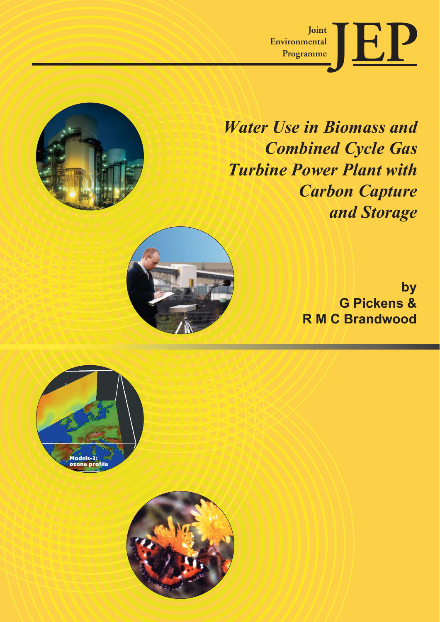

*Water Use in Biomass and Combined Cycle Gas Turbine Power Plant with Carbon Capture and Storage*

> **by G Pickens & R M C Brandwood**



**Models-3: ozone profile**

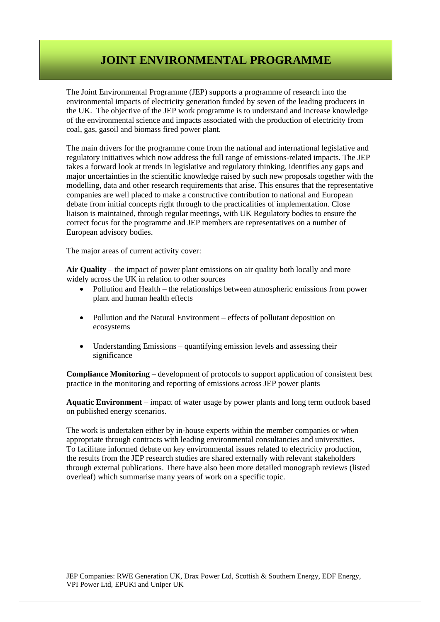## JOINT ENVIRONMENTAL PROGRAMME **JOINT ENVIRONMENTAL PROGRAMME**

The Joint Environmental Programme (JEP) supports a programme of research into the environmental impacts of electricity generation funded by seven of the leading producers in the UK. The objective of the JEP work programme is to understand and increase knowledge of the environmental science and impacts associated with the production of electricity from coal, gas, gasoil and biomass fired power plant.

The main drivers for the programme come from the national and international legislative and regulatory initiatives which now address the full range of emissions-related impacts. The JEP takes a forward look at trends in legislative and regulatory thinking, identifies any gaps and major uncertainties in the scientific knowledge raised by such new proposals together with the modelling, data and other research requirements that arise. This ensures that the representative companies are well placed to make a constructive contribution to national and European debate from initial concepts right through to the practicalities of implementation. Close liaison is maintained, through regular meetings, with UK Regulatory bodies to ensure the correct focus for the programme and JEP members are representatives on a number of European advisory bodies.

The major areas of current activity cover:

**Air Quality** – the impact of power plant emissions on air quality both locally and more widely across the UK in relation to other sources

- Pollution and Health the relationships between atmospheric emissions from power plant and human health effects
- Pollution and the Natural Environment effects of pollutant deposition on ecosystems
- Understanding Emissions quantifying emission levels and assessing their significance

**Compliance Monitoring** – development of protocols to support application of consistent best practice in the monitoring and reporting of emissions across JEP power plants

**Aquatic Environment** – impact of water usage by power plants and long term outlook based on published energy scenarios.

The work is undertaken either by in-house experts within the member companies or when appropriate through contracts with leading environmental consultancies and universities. To facilitate informed debate on key environmental issues related to electricity production, the results from the JEP research studies are shared externally with relevant stakeholders through external publications. There have also been more detailed monograph reviews (listed overleaf) which summarise many years of work on a specific topic.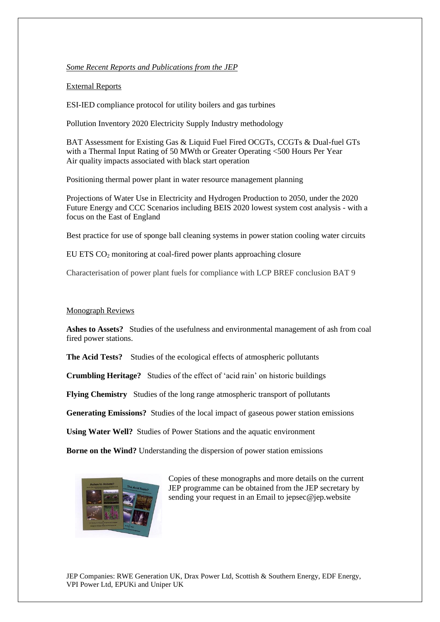#### *Some Recent Reports and Publications from the JEP*

#### External Reports

ESI-IED compliance protocol for utility boilers and gas turbines

Pollution Inventory 2020 Electricity Supply Industry methodology

BAT Assessment for Existing Gas & Liquid Fuel Fired OCGTs, CCGTs & Dual-fuel GTs with a Thermal Input Rating of 50 MWth or Greater Operating <500 Hours Per Year Air quality impacts associated with black start operation

Positioning thermal power plant in water resource management planning

Projections of Water Use in Electricity and Hydrogen Production to 2050, under the 2020 Future Energy and CCC Scenarios including BEIS 2020 lowest system cost analysis - with a focus on the East of England

Best practice for use of sponge ball cleaning systems in power station cooling water circuits

EU ETS CO<sup>2</sup> monitoring at coal-fired power plants approaching closure

Characterisation of power plant fuels for compliance with LCP BREF conclusion BAT 9

#### Monograph Reviews

**Ashes to Assets?** Studies of the usefulness and environmental management of ash from coal fired power stations.

**The Acid Tests?** Studies of the ecological effects of atmospheric pollutants

**Crumbling Heritage?** Studies of the effect of 'acid rain' on historic buildings

**Flying Chemistry** Studies of the long range atmospheric transport of pollutants

**Generating Emissions?** Studies of the local impact of gaseous power station emissions

**Using Water Well?** Studies of Power Stations and the aquatic environment

**Borne on the Wind?** Understanding the dispersion of power station emissions



Copies of these monographs and more details on the current JEP programme can be obtained from the JEP secretary by sending your request in an Email to jepsec@jep.website

JEP Companies: RWE Generation UK, Drax Power Ltd, Scottish & Southern Energy, EDF Energy, VPI Power Ltd, EPUKi and Uniper UK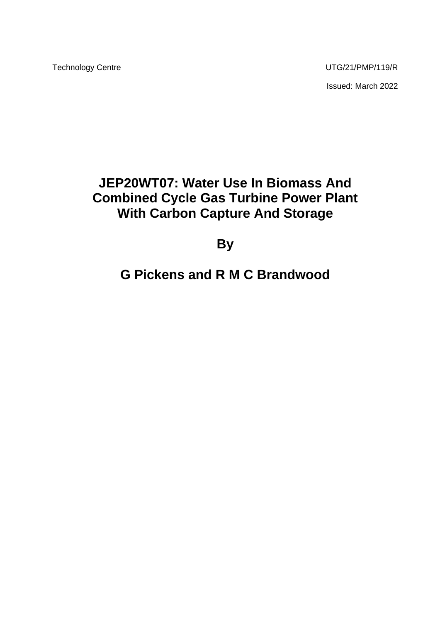Technology Centre **UTG/21/PMP/119/R** Issued: March 2022

# **JEP20WT07: Water Use In Biomass And Combined Cycle Gas Turbine Power Plant With Carbon Capture And Storage**

**By**

# **G Pickens and R M C Brandwood**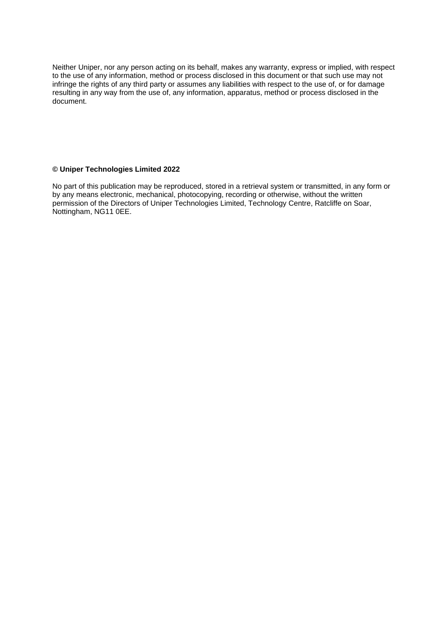Neither Uniper, nor any person acting on its behalf, makes any warranty, express or implied, with respect to the use of any information, method or process disclosed in this document or that such use may not infringe the rights of any third party or assumes any liabilities with respect to the use of, or for damage resulting in any way from the use of, any information, apparatus, method or process disclosed in the document.

#### **© Uniper Technologies Limited 2022**

No part of this publication may be reproduced, stored in a retrieval system or transmitted, in any form or by any means electronic, mechanical, photocopying, recording or otherwise, without the written permission of the Directors of Uniper Technologies Limited, Technology Centre, Ratcliffe on Soar, Nottingham, NG11 0EE.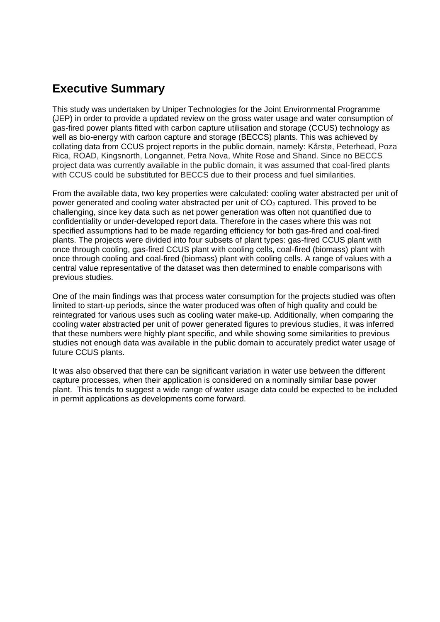## **Executive Summary**

This study was undertaken by Uniper Technologies for the Joint Environmental Programme (JEP) in order to provide a updated review on the gross water usage and water consumption of gas-fired power plants fitted with carbon capture utilisation and storage (CCUS) technology as well as bio-energy with carbon capture and storage (BECCS) plants. This was achieved by collating data from CCUS project reports in the public domain, namely: Kårstø, Peterhead, Poza Rica, ROAD, Kingsnorth, Longannet, Petra Nova, White Rose and Shand. Since no BECCS project data was currently available in the public domain, it was assumed that coal-fired plants with CCUS could be substituted for BECCS due to their process and fuel similarities.

From the available data, two key properties were calculated: cooling water abstracted per unit of power generated and cooling water abstracted per unit of  $CO<sub>2</sub>$  captured. This proved to be challenging, since key data such as net power generation was often not quantified due to confidentiality or under-developed report data. Therefore in the cases where this was not specified assumptions had to be made regarding efficiency for both gas-fired and coal-fired plants. The projects were divided into four subsets of plant types: gas-fired CCUS plant with once through cooling, gas-fired CCUS plant with cooling cells, coal-fired (biomass) plant with once through cooling and coal-fired (biomass) plant with cooling cells. A range of values with a central value representative of the dataset was then determined to enable comparisons with previous studies.

One of the main findings was that process water consumption for the projects studied was often limited to start-up periods, since the water produced was often of high quality and could be reintegrated for various uses such as cooling water make-up. Additionally, when comparing the cooling water abstracted per unit of power generated figures to previous studies, it was inferred that these numbers were highly plant specific, and while showing some similarities to previous studies not enough data was available in the public domain to accurately predict water usage of future CCUS plants.

It was also observed that there can be significant variation in water use between the different capture processes, when their application is considered on a nominally similar base power plant. This tends to suggest a wide range of water usage data could be expected to be included in permit applications as developments come forward.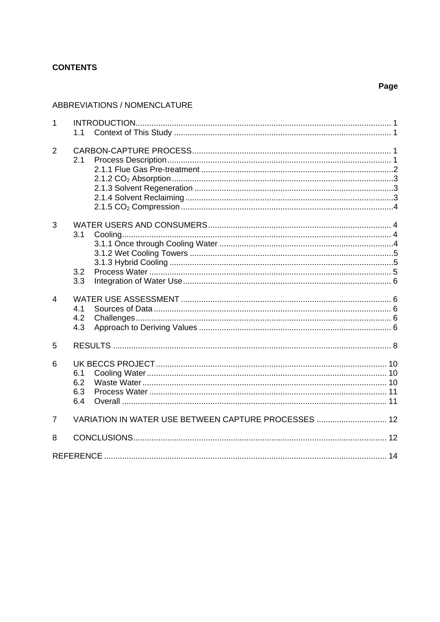## **CONTENTS**

## Page

#### ABBREVIATIONS / NOMENCLATURE

| $\mathbf{1}$   |                          |                                                      |  |
|----------------|--------------------------|------------------------------------------------------|--|
|                | 1.1                      |                                                      |  |
| 2              | 2.1                      |                                                      |  |
| 3              | 3.1<br>3.2<br>3.3        |                                                      |  |
| $\overline{4}$ | 4.1<br>4.2<br>4.3        |                                                      |  |
| 5              |                          |                                                      |  |
| 6              | 6.1<br>6.2<br>6.3<br>6.4 |                                                      |  |
| $\overline{7}$ |                          | VARIATION IN WATER USE BETWEEN CAPTURE PROCESSES  12 |  |
| 8              |                          |                                                      |  |
|                |                          |                                                      |  |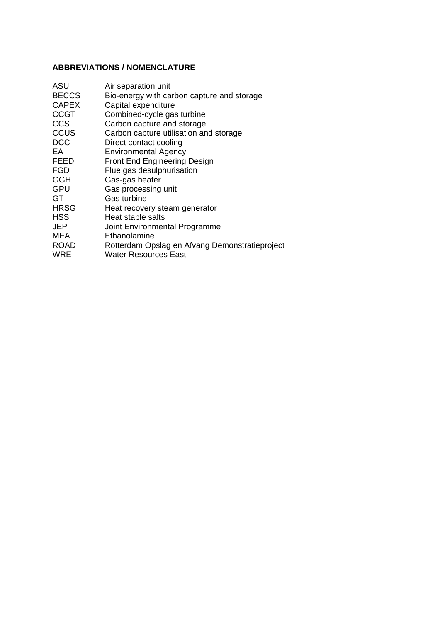## **ABBREVIATIONS / NOMENCLATURE**

| ASU          | Air separation unit                            |
|--------------|------------------------------------------------|
| <b>BECCS</b> | Bio-energy with carbon capture and storage     |
| <b>CAPEX</b> | Capital expenditure                            |
| <b>CCGT</b>  | Combined-cycle gas turbine                     |
| <b>CCS</b>   | Carbon capture and storage                     |
| <b>CCUS</b>  | Carbon capture utilisation and storage         |
| <b>DCC</b>   | Direct contact cooling                         |
| EA           | <b>Environmental Agency</b>                    |
| <b>FEED</b>  | <b>Front End Engineering Design</b>            |
| <b>FGD</b>   | Flue gas desulphurisation                      |
| GGH          | Gas-gas heater                                 |
| <b>GPU</b>   | Gas processing unit                            |
| GT           | <b>Gas turbine</b>                             |
| HRSG         | Heat recovery steam generator                  |
| <b>HSS</b>   | Heat stable salts                              |
| JEP          | Joint Environmental Programme                  |
| MEA          | Ethanolamine                                   |
| <b>ROAD</b>  | Rotterdam Opslag en Afvang Demonstratieproject |
| <b>WRE</b>   | Water Resources East                           |
|              |                                                |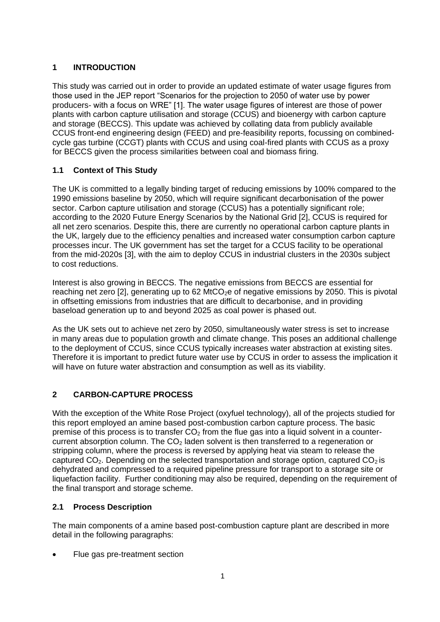## <span id="page-8-0"></span>**1 INTRODUCTION**

This study was carried out in order to provide an updated estimate of water usage figures from those used in the JEP report "Scenarios for the projection to 2050 of water use by power producers- with a focus on WRE" [1]. The water usage figures of interest are those of power plants with carbon capture utilisation and storage (CCUS) and bioenergy with carbon capture and storage (BECCS). This update was achieved by collating data from publicly available CCUS front-end engineering design (FEED) and pre-feasibility reports, focussing on combinedcycle gas turbine (CCGT) plants with CCUS and using coal-fired plants with CCUS as a proxy for BECCS given the process similarities between coal and biomass firing.

## <span id="page-8-1"></span>**1.1 Context of This Study**

The UK is committed to a legally binding target of reducing emissions by 100% compared to the 1990 emissions baseline by 2050, which will require significant decarbonisation of the power sector. Carbon capture utilisation and storage (CCUS) has a potentially significant role; according to the 2020 Future Energy Scenarios by the National Grid [2], CCUS is required for all net zero scenarios. Despite this, there are currently no operational carbon capture plants in the UK, largely due to the efficiency penalties and increased water consumption carbon capture processes incur. The UK government has set the target for a CCUS facility to be operational from the mid-2020s [3], with the aim to deploy CCUS in industrial clusters in the 2030s subject to cost reductions.

Interest is also growing in BECCS. The negative emissions from BECCS are essential for reaching net zero  $[2]$ , generating up to 62 MtCO<sub>2</sub>e of negative emissions by 2050. This is pivotal in offsetting emissions from industries that are difficult to decarbonise, and in providing baseload generation up to and beyond 2025 as coal power is phased out.

As the UK sets out to achieve net zero by 2050, simultaneously water stress is set to increase in many areas due to population growth and climate change. This poses an additional challenge to the deployment of CCUS, since CCUS typically increases water abstraction at existing sites. Therefore it is important to predict future water use by CCUS in order to assess the implication it will have on future water abstraction and consumption as well as its viability.

## <span id="page-8-2"></span>**2 CARBON-CAPTURE PROCESS**

With the exception of the White Rose Project (oxyfuel technology), all of the projects studied for this report employed an amine based post-combustion carbon capture process. The basic premise of this process is to transfer  $CO<sub>2</sub>$  from the flue gas into a liquid solvent in a countercurrent absorption column. The  $CO<sub>2</sub>$  laden solvent is then transferred to a regeneration or stripping column, where the process is reversed by applying heat via steam to release the captured  $CO<sub>2</sub>$ . Depending on the selected transportation and storage option, captured  $CO<sub>2</sub>$  is dehydrated and compressed to a required pipeline pressure for transport to a storage site or liquefaction facility. Further conditioning may also be required, depending on the requirement of the final transport and storage scheme.

## <span id="page-8-3"></span>**2.1 Process Description**

The main components of a amine based post-combustion capture plant are described in more detail in the following paragraphs:

• Flue gas pre-treatment section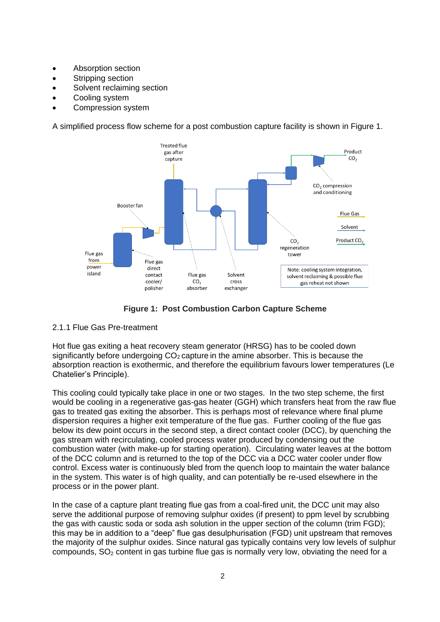- Absorption section
- Stripping section
- Solvent reclaiming section
- Cooling system
- Compression system

A simplified process flow scheme for a post combustion capture facility is shown in Figure 1.



**Figure 1: Post Combustion Carbon Capture Scheme**

#### <span id="page-9-0"></span>2.1.1 Flue Gas Pre-treatment

Hot flue gas exiting a heat recovery steam generator (HRSG) has to be cooled down significantly before undergoing  $CO<sub>2</sub>$  capture in the amine absorber. This is because the absorption reaction is exothermic, and therefore the equilibrium favours lower temperatures (Le Chatelier's Principle).

This cooling could typically take place in one or two stages. In the two step scheme, the first would be cooling in a regenerative gas-gas heater (GGH) which transfers heat from the raw flue gas to treated gas exiting the absorber. This is perhaps most of relevance where final plume dispersion requires a higher exit temperature of the flue gas. Further cooling of the flue gas below its dew point occurs in the second step, a direct contact cooler (DCC), by quenching the gas stream with recirculating, cooled process water produced by condensing out the combustion water (with make-up for starting operation). Circulating water leaves at the bottom of the DCC column and is returned to the top of the DCC via a DCC water cooler under flow control. Excess water is continuously bled from the quench loop to maintain the water balance in the system. This water is of high quality, and can potentially be re-used elsewhere in the process or in the power plant.

In the case of a capture plant treating flue gas from a coal-fired unit, the DCC unit may also serve the additional purpose of removing sulphur oxides (if present) to ppm level by scrubbing the gas with caustic soda or soda ash solution in the upper section of the column (trim FGD); this may be in addition to a "deep" flue gas desulphurisation (FGD) unit upstream that removes the majority of the sulphur oxides. Since natural gas typically contains very low levels of sulphur compounds,  $SO<sub>2</sub>$  content in gas turbine flue gas is normally very low, obviating the need for a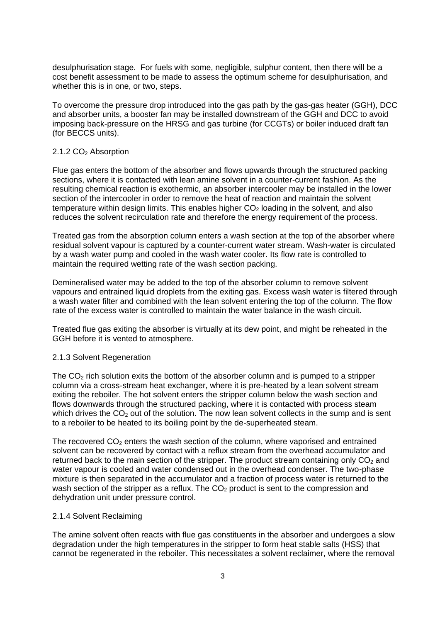desulphurisation stage. For fuels with some, negligible, sulphur content, then there will be a cost benefit assessment to be made to assess the optimum scheme for desulphurisation, and whether this is in one, or two, steps.

To overcome the pressure drop introduced into the gas path by the gas-gas heater (GGH), DCC and absorber units, a booster fan may be installed downstream of the GGH and DCC to avoid imposing back-pressure on the HRSG and gas turbine (for CCGTs) or boiler induced draft fan (for BECCS units).

#### <span id="page-10-0"></span>2.1.2 CO<sub>2</sub> Absorption

Flue gas enters the bottom of the absorber and flows upwards through the structured packing sections, where it is contacted with lean amine solvent in a counter-current fashion. As the resulting chemical reaction is exothermic, an absorber intercooler may be installed in the lower section of the intercooler in order to remove the heat of reaction and maintain the solvent temperature within design limits. This enables higher  $CO<sub>2</sub>$  loading in the solvent, and also reduces the solvent recirculation rate and therefore the energy requirement of the process.

Treated gas from the absorption column enters a wash section at the top of the absorber where residual solvent vapour is captured by a counter-current water stream. Wash-water is circulated by a wash water pump and cooled in the wash water cooler. Its flow rate is controlled to maintain the required wetting rate of the wash section packing.

Demineralised water may be added to the top of the absorber column to remove solvent vapours and entrained liquid droplets from the exiting gas. Excess wash water is filtered through a wash water filter and combined with the lean solvent entering the top of the column. The flow rate of the excess water is controlled to maintain the water balance in the wash circuit.

Treated flue gas exiting the absorber is virtually at its dew point, and might be reheated in the GGH before it is vented to atmosphere.

#### <span id="page-10-1"></span>2.1.3 Solvent Regeneration

The  $CO<sub>2</sub>$  rich solution exits the bottom of the absorber column and is pumped to a stripper column via a cross-stream heat exchanger, where it is pre-heated by a lean solvent stream exiting the reboiler. The hot solvent enters the stripper column below the wash section and flows downwards through the structured packing, where it is contacted with process steam which drives the  $CO<sub>2</sub>$  out of the solution. The now lean solvent collects in the sump and is sent to a reboiler to be heated to its boiling point by the de-superheated steam.

The recovered  $CO<sub>2</sub>$  enters the wash section of the column, where vaporised and entrained solvent can be recovered by contact with a reflux stream from the overhead accumulator and returned back to the main section of the stripper. The product stream containing only  $CO<sub>2</sub>$  and water vapour is cooled and water condensed out in the overhead condenser. The two-phase mixture is then separated in the accumulator and a fraction of process water is returned to the wash section of the stripper as a reflux. The  $CO<sub>2</sub>$  product is sent to the compression and dehydration unit under pressure control.

#### <span id="page-10-2"></span>2.1.4 Solvent Reclaiming

The amine solvent often reacts with flue gas constituents in the absorber and undergoes a slow degradation under the high temperatures in the stripper to form heat stable salts (HSS) that cannot be regenerated in the reboiler. This necessitates a solvent reclaimer, where the removal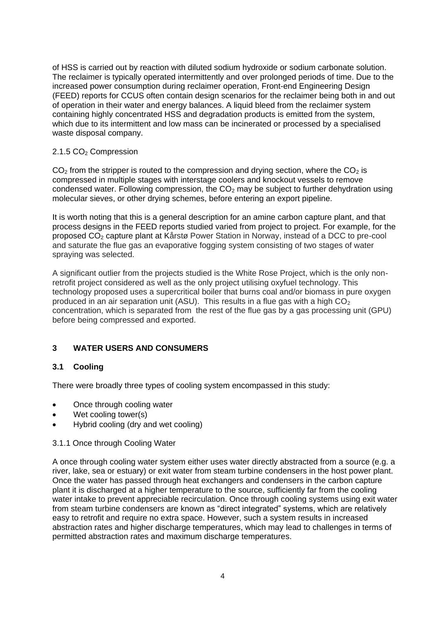of HSS is carried out by reaction with diluted sodium hydroxide or sodium carbonate solution. The reclaimer is typically operated intermittently and over prolonged periods of time. Due to the increased power consumption during reclaimer operation, Front-end Engineering Design (FEED) reports for CCUS often contain design scenarios for the reclaimer being both in and out of operation in their water and energy balances. A liquid bleed from the reclaimer system containing highly concentrated HSS and degradation products is emitted from the system, which due to its intermittent and low mass can be incinerated or processed by a specialised waste disposal company.

#### <span id="page-11-0"></span>2.1.5 CO<sub>2</sub> Compression

 $CO<sub>2</sub>$  from the stripper is routed to the compression and drying section, where the  $CO<sub>2</sub>$  is compressed in multiple stages with interstage coolers and knockout vessels to remove condensed water. Following compression, the  $CO<sub>2</sub>$  may be subject to further dehydration using molecular sieves, or other drying schemes, before entering an export pipeline.

It is worth noting that this is a general description for an amine carbon capture plant, and that process designs in the FEED reports studied varied from project to project. For example, for the proposed CO<sup>2</sup> capture plant at Kårstø Power Station in Norway, instead of a DCC to pre-cool and saturate the flue gas an evaporative fogging system consisting of two stages of water spraying was selected.

A significant outlier from the projects studied is the White Rose Project, which is the only nonretrofit project considered as well as the only project utilising oxyfuel technology. This technology proposed uses a supercritical boiler that burns coal and/or biomass in pure oxygen produced in an air separation unit (ASU). This results in a flue gas with a high  $CO<sub>2</sub>$ concentration, which is separated from the rest of the flue gas by a gas processing unit (GPU) before being compressed and exported.

## <span id="page-11-1"></span>**3 WATER USERS AND CONSUMERS**

## <span id="page-11-2"></span>**3.1 Cooling**

There were broadly three types of cooling system encompassed in this study:

- Once through cooling water
- Wet cooling tower(s)
- Hybrid cooling (dry and wet cooling)

#### <span id="page-11-3"></span>3.1.1 Once through Cooling Water

A once through cooling water system either uses water directly abstracted from a source (e.g. a river, lake, sea or estuary) or exit water from steam turbine condensers in the host power plant. Once the water has passed through heat exchangers and condensers in the carbon capture plant it is discharged at a higher temperature to the source, sufficiently far from the cooling water intake to prevent appreciable recirculation. Once through cooling systems using exit water from steam turbine condensers are known as "direct integrated" systems, which are relatively easy to retrofit and require no extra space. However, such a system results in increased abstraction rates and higher discharge temperatures, which may lead to challenges in terms of permitted abstraction rates and maximum discharge temperatures.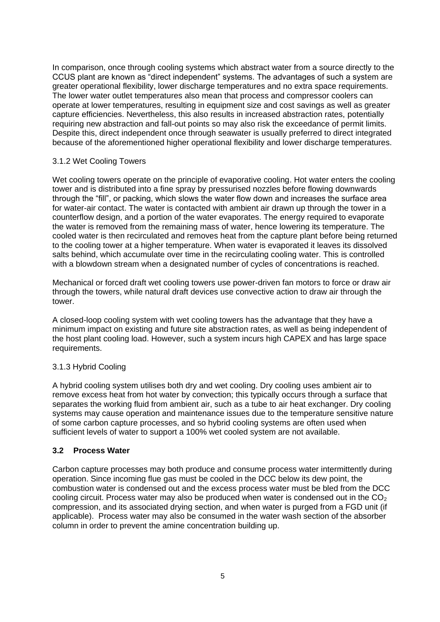In comparison, once through cooling systems which abstract water from a source directly to the CCUS plant are known as "direct independent" systems. The advantages of such a system are greater operational flexibility, lower discharge temperatures and no extra space requirements. The lower water outlet temperatures also mean that process and compressor coolers can operate at lower temperatures, resulting in equipment size and cost savings as well as greater capture efficiencies. Nevertheless, this also results in increased abstraction rates, potentially requiring new abstraction and fall-out points so may also risk the exceedance of permit limits. Despite this, direct independent once through seawater is usually preferred to direct integrated because of the aforementioned higher operational flexibility and lower discharge temperatures.

#### <span id="page-12-0"></span>3.1.2 Wet Cooling Towers

Wet cooling towers operate on the principle of evaporative cooling. Hot water enters the cooling tower and is distributed into a fine spray by pressurised nozzles before flowing downwards through the "fill", or packing, which slows the water flow down and increases the surface area for water-air contact. The water is contacted with ambient air drawn up through the tower in a counterflow design, and a portion of the water evaporates. The energy required to evaporate the water is removed from the remaining mass of water, hence lowering its temperature. The cooled water is then recirculated and removes heat from the capture plant before being returned to the cooling tower at a higher temperature. When water is evaporated it leaves its dissolved salts behind, which accumulate over time in the recirculating cooling water. This is controlled with a blowdown stream when a designated number of cycles of concentrations is reached.

Mechanical or forced draft wet cooling towers use power-driven fan motors to force or draw air through the towers, while natural draft devices use convective action to draw air through the tower.

A closed-loop cooling system with wet cooling towers has the advantage that they have a minimum impact on existing and future site abstraction rates, as well as being independent of the host plant cooling load. However, such a system incurs high CAPEX and has large space requirements.

#### <span id="page-12-1"></span>3.1.3 Hybrid Cooling

A hybrid cooling system utilises both dry and wet cooling. Dry cooling uses ambient air to remove excess heat from hot water by convection; this typically occurs through a surface that separates the working fluid from ambient air, such as a tube to air heat exchanger. Dry cooling systems may cause operation and maintenance issues due to the temperature sensitive nature of some carbon capture processes, and so hybrid cooling systems are often used when sufficient levels of water to support a 100% wet cooled system are not available.

#### <span id="page-12-2"></span>**3.2 Process Water**

Carbon capture processes may both produce and consume process water intermittently during operation. Since incoming flue gas must be cooled in the DCC below its dew point, the combustion water is condensed out and the excess process water must be bled from the DCC cooling circuit. Process water may also be produced when water is condensed out in the  $CO<sub>2</sub>$ compression, and its associated drying section, and when water is purged from a FGD unit (if applicable). Process water may also be consumed in the water wash section of the absorber column in order to prevent the amine concentration building up.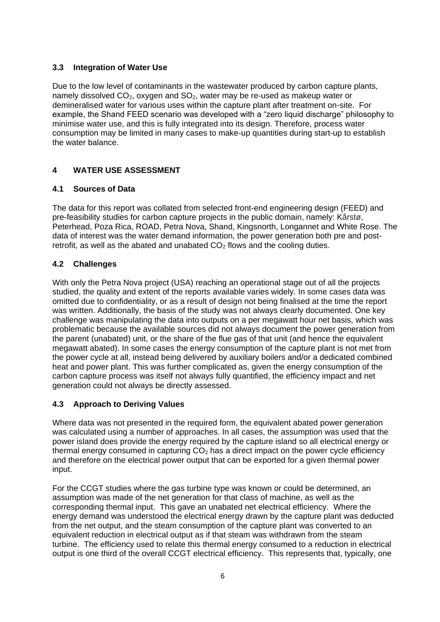## <span id="page-13-0"></span>**3.3 Integration of Water Use**

Due to the low level of contaminants in the wastewater produced by carbon capture plants, namely dissolved  $CO<sub>2</sub>$ , oxygen and  $SO<sub>2</sub>$ , water may be re-used as makeup water or demineralised water for various uses within the capture plant after treatment on-site. For example, the Shand FEED scenario was developed with a "zero liquid discharge" philosophy to minimise water use, and this is fully integrated into its design. Therefore, process water consumption may be limited in many cases to make-up quantities during start-up to establish the water balance.

## <span id="page-13-1"></span>**4 WATER USE ASSESSMENT**

## <span id="page-13-2"></span>**4.1 Sources of Data**

The data for this report was collated from selected front-end engineering design (FEED) and pre-feasibility studies for carbon capture projects in the public domain, namely: Kårstø, Peterhead, Poza Rica, ROAD, Petra Nova, Shand, Kingsnorth, Longannet and White Rose. The data of interest was the water demand information, the power generation both pre and postretrofit, as well as the abated and unabated  $CO<sub>2</sub>$  flows and the cooling duties.

## <span id="page-13-3"></span>**4.2 Challenges**

With only the Petra Nova project (USA) reaching an operational stage out of all the projects studied, the quality and extent of the reports available varies widely. In some cases data was omitted due to confidentiality, or as a result of design not being finalised at the time the report was written. Additionally, the basis of the study was not always clearly documented. One key challenge was manipulating the data into outputs on a per megawatt hour net basis, which was problematic because the available sources did not always document the power generation from the parent (unabated) unit, or the share of the flue gas of that unit (and hence the equivalent megawatt abated). In some cases the energy consumption of the capture plant is not met from the power cycle at all, instead being delivered by auxiliary boilers and/or a dedicated combined heat and power plant. This was further complicated as, given the energy consumption of the carbon capture process was itself not always fully quantified, the efficiency impact and net generation could not always be directly assessed.

## <span id="page-13-4"></span>**4.3 Approach to Deriving Values**

Where data was not presented in the required form, the equivalent abated power generation was calculated using a number of approaches. In all cases, the assumption was used that the power island does provide the energy required by the capture island so all electrical energy or thermal energy consumed in capturing  $CO<sub>2</sub>$  has a direct impact on the power cycle efficiency and therefore on the electrical power output that can be exported for a given thermal power input.

For the CCGT studies where the gas turbine type was known or could be determined, an assumption was made of the net generation for that class of machine, as well as the corresponding thermal input. This gave an unabated net electrical efficiency. Where the energy demand was understood the electrical energy drawn by the capture plant was deducted from the net output, and the steam consumption of the capture plant was converted to an equivalent reduction in electrical output as if that steam was withdrawn from the steam turbine. The efficiency used to relate this thermal energy consumed to a reduction in electrical output is one third of the overall CCGT electrical efficiency. This represents that, typically, one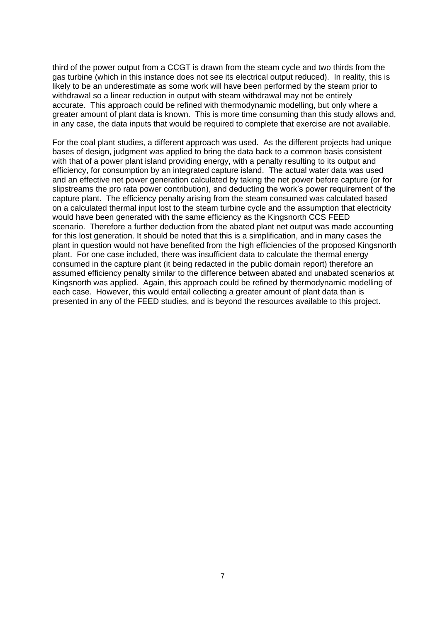third of the power output from a CCGT is drawn from the steam cycle and two thirds from the gas turbine (which in this instance does not see its electrical output reduced). In reality, this is likely to be an underestimate as some work will have been performed by the steam prior to withdrawal so a linear reduction in output with steam withdrawal may not be entirely accurate. This approach could be refined with thermodynamic modelling, but only where a greater amount of plant data is known. This is more time consuming than this study allows and, in any case, the data inputs that would be required to complete that exercise are not available.

For the coal plant studies, a different approach was used. As the different projects had unique bases of design, judgment was applied to bring the data back to a common basis consistent with that of a power plant island providing energy, with a penalty resulting to its output and efficiency, for consumption by an integrated capture island. The actual water data was used and an effective net power generation calculated by taking the net power before capture (or for slipstreams the pro rata power contribution), and deducting the work's power requirement of the capture plant. The efficiency penalty arising from the steam consumed was calculated based on a calculated thermal input lost to the steam turbine cycle and the assumption that electricity would have been generated with the same efficiency as the Kingsnorth CCS FEED scenario. Therefore a further deduction from the abated plant net output was made accounting for this lost generation. It should be noted that this is a simplification, and in many cases the plant in question would not have benefited from the high efficiencies of the proposed Kingsnorth plant. For one case included, there was insufficient data to calculate the thermal energy consumed in the capture plant (it being redacted in the public domain report) therefore an assumed efficiency penalty similar to the difference between abated and unabated scenarios at Kingsnorth was applied. Again, this approach could be refined by thermodynamic modelling of each case. However, this would entail collecting a greater amount of plant data than is presented in any of the FEED studies, and is beyond the resources available to this project.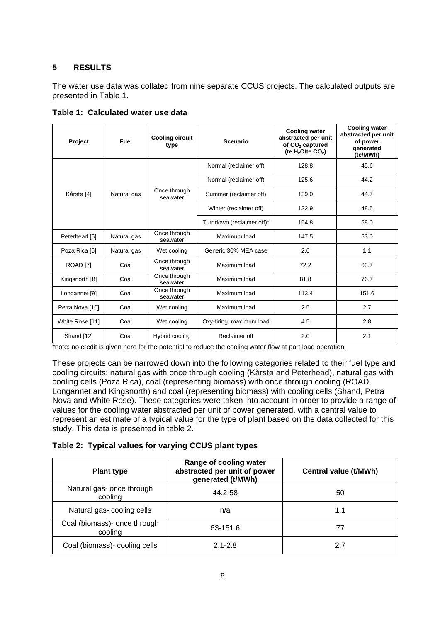## <span id="page-15-0"></span>**5 RESULTS**

The water use data was collated from nine separate CCUS projects. The calculated outputs are presented in Table 1.

| Project               | <b>Fuel</b>                         | <b>Cooling circuit</b><br>type | <b>Scenario</b>           | <b>Cooling water</b><br>abstracted per unit<br>of CO <sub>2</sub> captured<br>(te $H_2$ O/te CO <sub>2</sub> ) | <b>Cooling water</b><br>abstracted per unit<br>of power<br>generated<br>(te/MWh) |
|-----------------------|-------------------------------------|--------------------------------|---------------------------|----------------------------------------------------------------------------------------------------------------|----------------------------------------------------------------------------------|
|                       | Natural gas                         | Once through<br>seawater       | Normal (reclaimer off)    | 128.8                                                                                                          | 45.6                                                                             |
|                       |                                     |                                | Normal (reclaimer off)    | 125.6                                                                                                          | 44.2                                                                             |
| Kårstø <sup>[4]</sup> |                                     |                                | Summer (reclaimer off)    | 139.0                                                                                                          | 44.7                                                                             |
|                       |                                     |                                | Winter (reclaimer off)    | 132.9                                                                                                          | 48.5                                                                             |
|                       |                                     |                                | Turndown (reclaimer off)* | 154.8                                                                                                          | 58.0                                                                             |
| Peterhead [5]         | Natural gas                         | Once through<br>seawater       | Maximum load              | 147.5                                                                                                          | 53.0                                                                             |
| Poza Rica [6]         | Natural gas                         | Wet cooling                    | Generic 30% MEA case      | 2.6                                                                                                            | 1.1                                                                              |
| ROAD <sup>[7]</sup>   | Coal                                | Once through<br>seawater       | Maximum load              | 72.2                                                                                                           | 63.7                                                                             |
| Kingsnorth [8]        | Coal                                | Once through<br>seawater       | Maximum load              | 81.8                                                                                                           | 76.7                                                                             |
| Longannet [9]         | Coal                                | Once through<br>seawater       | Maximum load              | 113.4                                                                                                          | 151.6                                                                            |
| Petra Nova [10]       | Coal<br>Maximum load<br>Wet cooling |                                | 2.5                       | 2.7                                                                                                            |                                                                                  |
| White Rose [11]       | Coal                                | Wet cooling                    | Oxy-firing, maximum load  | 4.5                                                                                                            | 2.8                                                                              |
| Shand [12]            | Coal                                | Hybrid cooling                 | Reclaimer off             | 2.0                                                                                                            | 2.1                                                                              |

**Table 1: Calculated water use data**

\*note: no credit is given here for the potential to reduce the cooling water flow at part load operation.

These projects can be narrowed down into the following categories related to their fuel type and cooling circuits: natural gas with once through cooling (Kårstø and Peterhead), natural gas with cooling cells (Poza Rica), coal (representing biomass) with once through cooling (ROAD, Longannet and Kingsnorth) and coal (representing biomass) with cooling cells (Shand, Petra Nova and White Rose). These categories were taken into account in order to provide a range of values for the cooling water abstracted per unit of power generated, with a central value to represent an estimate of a typical value for the type of plant based on the data collected for this study. This data is presented in table 2.

#### **Table 2: Typical values for varying CCUS plant types**

| <b>Plant type</b>                       | Range of cooling water<br>abstracted per unit of power<br>generated (t/MWh) | Central value (t/MWh) |
|-----------------------------------------|-----------------------------------------------------------------------------|-----------------------|
| Natural gas- once through<br>cooling    | 44.2-58                                                                     | 50                    |
| Natural gas-cooling cells               | n/a                                                                         | 1.1                   |
| Coal (biomass)- once through<br>cooling | 63-151.6                                                                    | 77                    |
| Coal (biomass)- cooling cells           | $2.1 - 2.8$                                                                 | 2.7                   |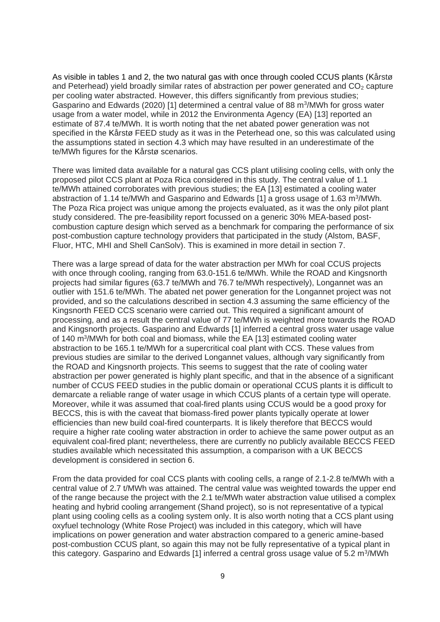As visible in tables 1 and 2, the two natural gas with once through cooled CCUS plants (Kårstø and Peterhead) yield broadly similar rates of abstraction per power generated and  $CO<sub>2</sub>$  capture per cooling water abstracted. However, this differs significantly from previous studies; Gasparino and Edwards (2020) [1] determined a central value of 88 m<sup>3</sup>/MWh for gross water usage from a water model, while in 2012 the Environmenta Agency (EA) [13] reported an estimate of 87.4 te/MWh. It is worth noting that the net abated power generation was not specified in the Kårstø FEED study as it was in the Peterhead one, so this was calculated using the assumptions stated in section 4.3 which may have resulted in an underestimate of the te/MWh figures for the Kårstø scenarios.

There was limited data available for a natural gas CCS plant utilising cooling cells, with only the proposed pilot CCS plant at Poza Rica considered in this study. The central value of 1.1 te/MWh attained corroborates with previous studies; the EA [13] estimated a cooling water abstraction of 1.14 te/MWh and Gasparino and Edwards [1] a gross usage of 1.63 m<sup>3</sup>/MWh. The Poza Rica project was unique among the projects evaluated, as it was the only pilot plant study considered. The pre-feasibility report focussed on a generic 30% MEA-based postcombustion capture design which served as a benchmark for comparing the performance of six post-combustion capture technology providers that participated in the study (Alstom, BASF, Fluor, HTC, MHI and Shell CanSolv). This is examined in more detail in section 7.

There was a large spread of data for the water abstraction per MWh for coal CCUS projects with once through cooling, ranging from 63.0-151.6 te/MWh. While the ROAD and Kingsnorth projects had similar figures (63.7 te/MWh and 76.7 te/MWh respectively), Longannet was an outlier with 151.6 te/MWh. The abated net power generation for the Longannet project was not provided, and so the calculations described in section 4.3 assuming the same efficiency of the Kingsnorth FEED CCS scenario were carried out. This required a significant amount of processing, and as a result the central value of 77 te/MWh is weighted more towards the ROAD and Kingsnorth projects. Gasparino and Edwards [1] inferred a central gross water usage value of 140 m<sup>3</sup> /MWh for both coal and biomass, while the EA [13] estimated cooling water abstraction to be 165.1 te/MWh for a supercritical coal plant with CCS. These values from previous studies are similar to the derived Longannet values, although vary significantly from the ROAD and Kingsnorth projects. This seems to suggest that the rate of cooling water abstraction per power generated is highly plant specific, and that in the absence of a significant number of CCUS FEED studies in the public domain or operational CCUS plants it is difficult to demarcate a reliable range of water usage in which CCUS plants of a certain type will operate. Moreover, while it was assumed that coal-fired plants using CCUS would be a good proxy for BECCS, this is with the caveat that biomass-fired power plants typically operate at lower efficiencies than new build coal-fired counterparts. It is likely therefore that BECCS would require a higher rate cooling water abstraction in order to achieve the same power output as an equivalent coal-fired plant; nevertheless, there are currently no publicly available BECCS FEED studies available which necessitated this assumption, a comparison with a UK BECCS development is considered in section 6.

From the data provided for coal CCS plants with cooling cells, a range of 2.1-2.8 te/MWh with a central value of 2.7 t/MWh was attained. The central value was weighted towards the upper end of the range because the project with the 2.1 te/MWh water abstraction value utilised a complex heating and hybrid cooling arrangement (Shand project), so is not representative of a typical plant using cooling cells as a cooling system only. It is also worth noting that a CCS plant using oxyfuel technology (White Rose Project) was included in this category, which will have implications on power generation and water abstraction compared to a generic amine-based post-combustion CCUS plant, so again this may not be fully representative of a typical plant in this category. Gasparino and Edwards [1] inferred a central gross usage value of 5.2 m<sup>3</sup>/MWh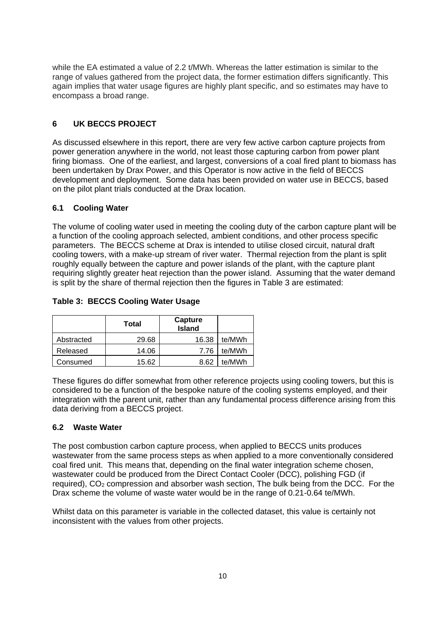while the EA estimated a value of 2.2 t/MWh. Whereas the latter estimation is similar to the range of values gathered from the project data, the former estimation differs significantly. This again implies that water usage figures are highly plant specific, and so estimates may have to encompass a broad range.

## <span id="page-17-0"></span>**6 UK BECCS PROJECT**

As discussed elsewhere in this report, there are very few active carbon capture projects from power generation anywhere in the world, not least those capturing carbon from power plant firing biomass. One of the earliest, and largest, conversions of a coal fired plant to biomass has been undertaken by Drax Power, and this Operator is now active in the field of BECCS development and deployment. Some data has been provided on water use in BECCS, based on the pilot plant trials conducted at the Drax location.

#### <span id="page-17-1"></span>**6.1 Cooling Water**

The volume of cooling water used in meeting the cooling duty of the carbon capture plant will be a function of the cooling approach selected, ambient conditions, and other process specific parameters. The BECCS scheme at Drax is intended to utilise closed circuit, natural draft cooling towers, with a make-up stream of river water. Thermal rejection from the plant is split roughly equally between the capture and power islands of the plant, with the capture plant requiring slightly greater heat rejection than the power island. Assuming that the water demand is split by the share of thermal rejection then the figures in Table 3 are estimated:

## **Table 3: BECCS Cooling Water Usage**

|            | Total | Capture<br><b>Island</b> |        |
|------------|-------|--------------------------|--------|
| Abstracted | 29.68 | 16.38                    | te/MWh |
| Released   | 14.06 | 7.76                     | te/MWh |
| Consumed   | 15.62 | 8.62                     | te/MWh |

These figures do differ somewhat from other reference projects using cooling towers, but this is considered to be a function of the bespoke nature of the cooling systems employed, and their integration with the parent unit, rather than any fundamental process difference arising from this data deriving from a BECCS project.

#### <span id="page-17-2"></span>**6.2 Waste Water**

The post combustion carbon capture process, when applied to BECCS units produces wastewater from the same process steps as when applied to a more conventionally considered coal fired unit. This means that, depending on the final water integration scheme chosen, wastewater could be produced from the Direct Contact Cooler (DCC), polishing FGD (if required), CO<sub>2</sub> compression and absorber wash section. The bulk being from the DCC. For the Drax scheme the volume of waste water would be in the range of 0.21-0.64 te/MWh.

<span id="page-17-3"></span>Whilst data on this parameter is variable in the collected dataset, this value is certainly not inconsistent with the values from other projects.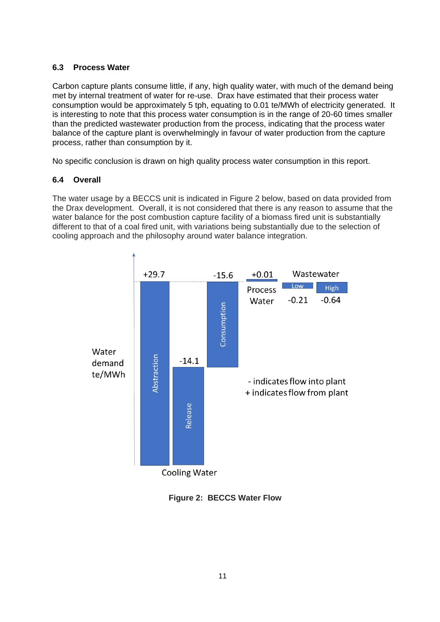## **6.3 Process Water**

Carbon capture plants consume little, if any, high quality water, with much of the demand being met by internal treatment of water for re-use. Drax have estimated that their process water consumption would be approximately 5 tph, equating to 0.01 te/MWh of electricity generated. It is interesting to note that this process water consumption is in the range of 20-60 times smaller than the predicted wastewater production from the process, indicating that the process water balance of the capture plant is overwhelmingly in favour of water production from the capture process, rather than consumption by it.

No specific conclusion is drawn on high quality process water consumption in this report.

## <span id="page-18-0"></span>**6.4 Overall**

The water usage by a BECCS unit is indicated in Figure 2 below, based on data provided from the Drax development. Overall, it is not considered that there is any reason to assume that the water balance for the post combustion capture facility of a biomass fired unit is substantially different to that of a coal fired unit, with variations being substantially due to the selection of cooling approach and the philosophy around water balance integration.



**Figure 2: BECCS Water Flow**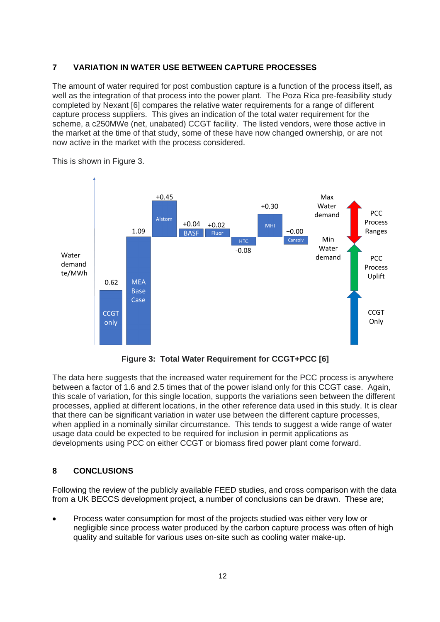## <span id="page-19-0"></span>**7 VARIATION IN WATER USE BETWEEN CAPTURE PROCESSES**

The amount of water required for post combustion capture is a function of the process itself, as well as the integration of that process into the power plant. The Poza Rica pre-feasibility study completed by Nexant [6] compares the relative water requirements for a range of different capture process suppliers. This gives an indication of the total water requirement for the scheme, a c250MWe (net, unabated) CCGT facility. The listed vendors, were those active in the market at the time of that study, some of these have now changed ownership, or are not now active in the market with the process considered.



This is shown in Figure 3.

**Figure 3: Total Water Requirement for CCGT+PCC [6]**

The data here suggests that the increased water requirement for the PCC process is anywhere between a factor of 1.6 and 2.5 times that of the power island only for this CCGT case. Again, this scale of variation, for this single location, supports the variations seen between the different processes, applied at different locations, in the other reference data used in this study. It is clear that there can be significant variation in water use between the different capture processes, when applied in a nominally similar circumstance. This tends to suggest a wide range of water usage data could be expected to be required for inclusion in permit applications as developments using PCC on either CCGT or biomass fired power plant come forward.

## <span id="page-19-1"></span>**8 CONCLUSIONS**

Following the review of the publicly available FEED studies, and cross comparison with the data from a UK BECCS development project, a number of conclusions can be drawn. These are;

• Process water consumption for most of the projects studied was either very low or negligible since process water produced by the carbon capture process was often of high quality and suitable for various uses on-site such as cooling water make-up.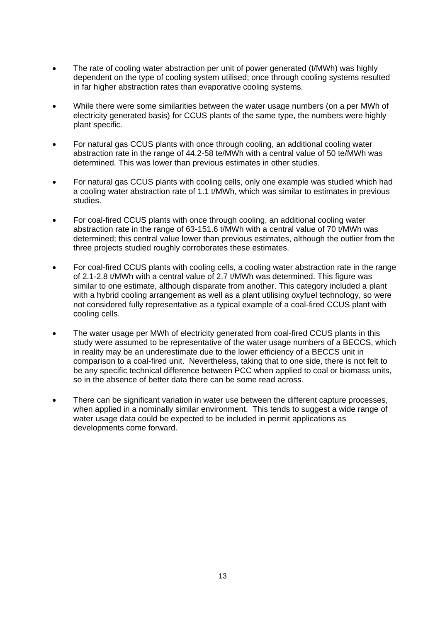- The rate of cooling water abstraction per unit of power generated (t/MWh) was highly dependent on the type of cooling system utilised; once through cooling systems resulted in far higher abstraction rates than evaporative cooling systems.
- While there were some similarities between the water usage numbers (on a per MWh of electricity generated basis) for CCUS plants of the same type, the numbers were highly plant specific.
- For natural gas CCUS plants with once through cooling, an additional cooling water abstraction rate in the range of 44.2-58 te/MWh with a central value of 50 te/MWh was determined. This was lower than previous estimates in other studies.
- For natural gas CCUS plants with cooling cells, only one example was studied which had a cooling water abstraction rate of 1.1 t/MWh, which was similar to estimates in previous studies.
- For coal-fired CCUS plants with once through cooling, an additional cooling water abstraction rate in the range of 63-151.6 t/MWh with a central value of 70 t/MWh was determined; this central value lower than previous estimates, although the outlier from the three projects studied roughly corroborates these estimates.
- For coal-fired CCUS plants with cooling cells, a cooling water abstraction rate in the range of 2.1-2.8 t/MWh with a central value of 2.7 t/MWh was determined. This figure was similar to one estimate, although disparate from another. This category included a plant with a hybrid cooling arrangement as well as a plant utilising oxyfuel technology, so were not considered fully representative as a typical example of a coal-fired CCUS plant with cooling cells.
- The water usage per MWh of electricity generated from coal-fired CCUS plants in this study were assumed to be representative of the water usage numbers of a BECCS, which in reality may be an underestimate due to the lower efficiency of a BECCS unit in comparison to a coal-fired unit. Nevertheless, taking that to one side, there is not felt to be any specific technical difference between PCC when applied to coal or biomass units, so in the absence of better data there can be some read across.
- There can be significant variation in water use between the different capture processes, when applied in a nominally similar environment. This tends to suggest a wide range of water usage data could be expected to be included in permit applications as developments come forward.